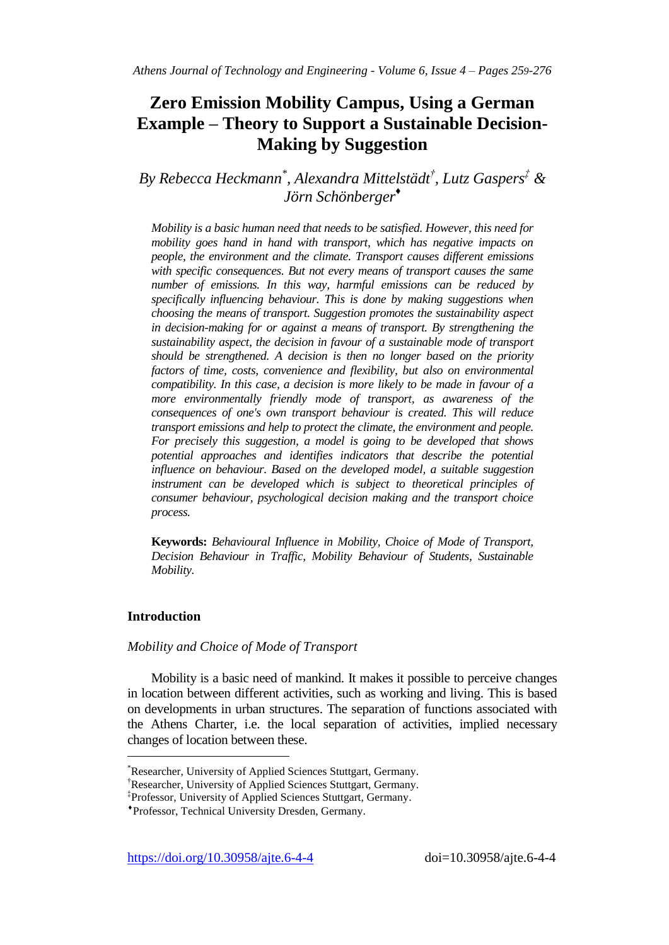# **Zero Emission Mobility Campus, Using a German Example – Theory to Support a Sustainable Decision-Making by Suggestion**

*By Rebecca Heckmann\* , Alexandra Mittelstädt † , Lutz Gaspers‡ & Jörn Schönberger ♦*

*Mobility is a basic human need that needs to be satisfied. However, this need for mobility goes hand in hand with transport, which has negative impacts on people, the environment and the climate. Transport causes different emissions with specific consequences. But not every means of transport causes the same number of emissions. In this way, harmful emissions can be reduced by specifically influencing behaviour. This is done by making suggestions when choosing the means of transport. Suggestion promotes the sustainability aspect in decision-making for or against a means of transport. By strengthening the sustainability aspect, the decision in favour of a sustainable mode of transport should be strengthened. A decision is then no longer based on the priority factors of time, costs, convenience and flexibility, but also on environmental compatibility. In this case, a decision is more likely to be made in favour of a more environmentally friendly mode of transport, as awareness of the consequences of one's own transport behaviour is created. This will reduce transport emissions and help to protect the climate, the environment and people. For precisely this suggestion, a model is going to be developed that shows potential approaches and identifies indicators that describe the potential influence on behaviour. Based on the developed model, a suitable suggestion*  instrument can be developed which is subject to theoretical principles of *consumer behaviour, psychological decision making and the transport choice process.* 

**Keywords:** *Behavioural Influence in Mobility, Choice of Mode of Transport, Decision Behaviour in Traffic, Mobility Behaviour of Students, Sustainable Mobility.* 

# **Introduction**

 $\overline{a}$ 

## *Mobility and Choice of Mode of Transport*

Mobility is a basic need of mankind. It makes it possible to perceive changes in location between different activities, such as working and living. This is based on developments in urban structures. The separation of functions associated with the Athens Charter, i.e. the local separation of activities, implied necessary changes of location between these.

<sup>\*</sup>Researcher, University of Applied Sciences Stuttgart, Germany.

<sup>†</sup>Researcher, University of Applied Sciences Stuttgart, Germany.

<sup>‡</sup> Professor, University of Applied Sciences Stuttgart, Germany.

Professor, Technical University Dresden, Germany.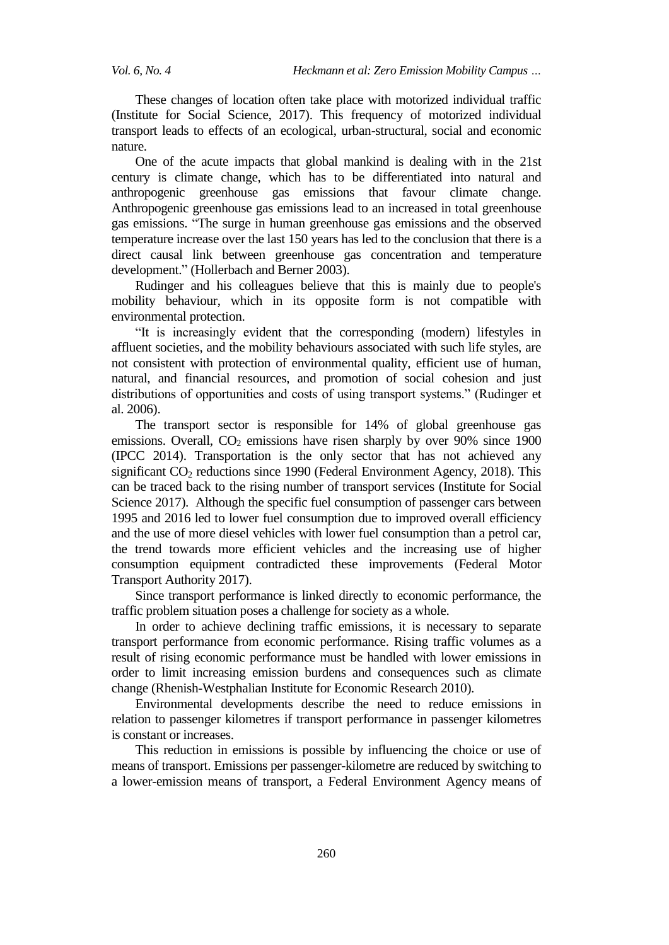These changes of location often take place with motorized individual traffic (Institute for Social Science, 2017). This frequency of motorized individual transport leads to effects of an ecological, urban-structural, social and economic nature.

One of the acute impacts that global mankind is dealing with in the 21st century is climate change, which has to be differentiated into natural and anthropogenic greenhouse gas emissions that favour climate change. Anthropogenic greenhouse gas emissions lead to an increased in total greenhouse gas emissions. "The surge in human greenhouse gas emissions and the observed temperature increase over the last 150 years has led to the conclusion that there is a direct causal link between greenhouse gas concentration and temperature development." (Hollerbach and Berner 2003).

Rudinger and his colleagues believe that this is mainly due to people's mobility behaviour, which in its opposite form is not compatible with environmental protection.

"It is increasingly evident that the corresponding (modern) lifestyles in affluent societies, and the mobility behaviours associated with such life styles, are not consistent with protection of environmental quality, efficient use of human, natural, and financial resources, and promotion of social cohesion and just distributions of opportunities and costs of using transport systems." (Rudinger et al. 2006).

The transport sector is responsible for 14% of global greenhouse gas emissions. Overall,  $CO<sub>2</sub>$  emissions have risen sharply by over 90% since 1900 (IPCC 2014). Transportation is the only sector that has not achieved any significant  $CO<sub>2</sub>$  reductions since 1990 (Federal Environment Agency, 2018). This can be traced back to the rising number of transport services (Institute for Social Science 2017). Although the specific fuel consumption of passenger cars between 1995 and 2016 led to lower fuel consumption due to improved overall efficiency and the use of more diesel vehicles with lower fuel consumption than a petrol car, the trend towards more efficient vehicles and the increasing use of higher consumption equipment contradicted these improvements (Federal Motor Transport Authority 2017).

Since transport performance is linked directly to economic performance, the traffic problem situation poses a challenge for society as a whole.

In order to achieve declining traffic emissions, it is necessary to separate transport performance from economic performance. Rising traffic volumes as a result of rising economic performance must be handled with lower emissions in order to limit increasing emission burdens and consequences such as climate change (Rhenish-Westphalian Institute for Economic Research 2010).

Environmental developments describe the need to reduce emissions in relation to passenger kilometres if transport performance in passenger kilometres is constant or increases.

This reduction in emissions is possible by influencing the choice or use of means of transport. Emissions per passenger-kilometre are reduced by switching to a lower-emission means of transport, a Federal Environment Agency means of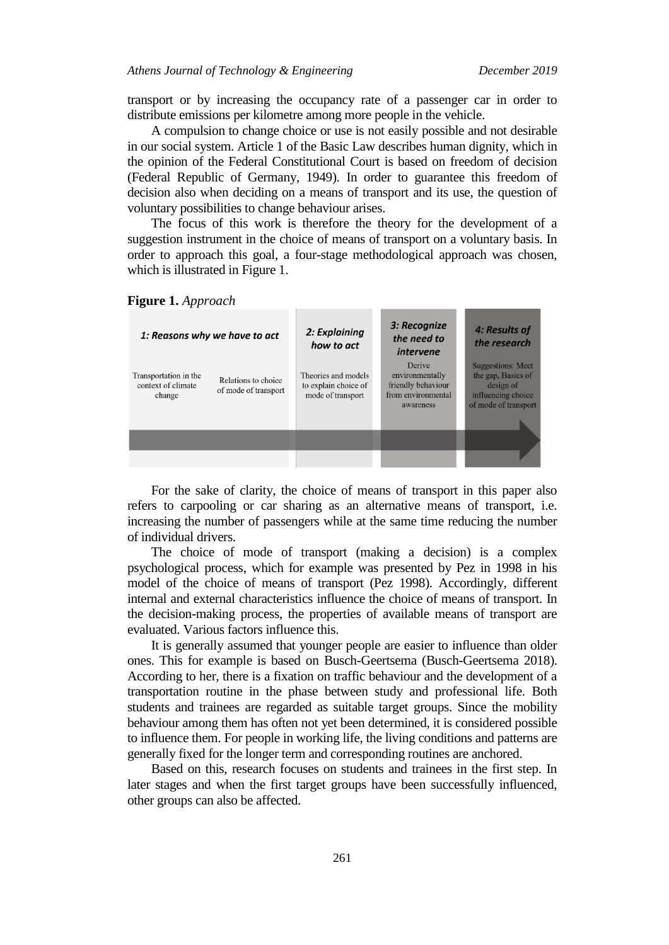transport or by increasing the occupancy rate of a passenger car in order to distribute emissions per kilometre among more people in the vehicle.

A compulsion to change choice or use is not easily possible and not desirable in our social system. Article 1 of the Basic Law describes human dignity, which in the opinion of the Federal Constitutional Court is based on freedom of decision (Federal Republic of Germany, 1949). In order to guarantee this freedom of decision also when deciding on a means of transport and its use, the question of voluntary possibilities to change behaviour arises.

The focus of this work is therefore the theory for the development of a suggestion instrument in the choice of means of transport on a voluntary basis. In order to approach this goal, a four-stage methodological approach was chosen, which is illustrated in [Figure 1.](#page-2-0)

#### <span id="page-2-0"></span>**Figure 1.** *Approach*



For the sake of clarity, the choice of means of transport in this paper also refers to carpooling or car sharing as an alternative means of transport, i.e. increasing the number of passengers while at the same time reducing the number of individual drivers.

The choice of mode of transport (making a decision) is a complex psychological process, which for example was presented by Pez in 1998 in his model of the choice of means of transport (Pez 1998). Accordingly, different internal and external characteristics influence the choice of means of transport. In the decision-making process, the properties of available means of transport are evaluated. Various factors influence this.

It is generally assumed that younger people are easier to influence than older ones. This for example is based on Busch-Geertsema (Busch-Geertsema 2018). According to her, there is a fixation on traffic behaviour and the development of a transportation routine in the phase between study and professional life. Both students and trainees are regarded as suitable target groups. Since the mobility behaviour among them has often not yet been determined, it is considered possible to influence them. For people in working life, the living conditions and patterns are generally fixed for the longer term and corresponding routines are anchored.

Based on this, research focuses on students and trainees in the first step. In later stages and when the first target groups have been successfully influenced, other groups can also be affected.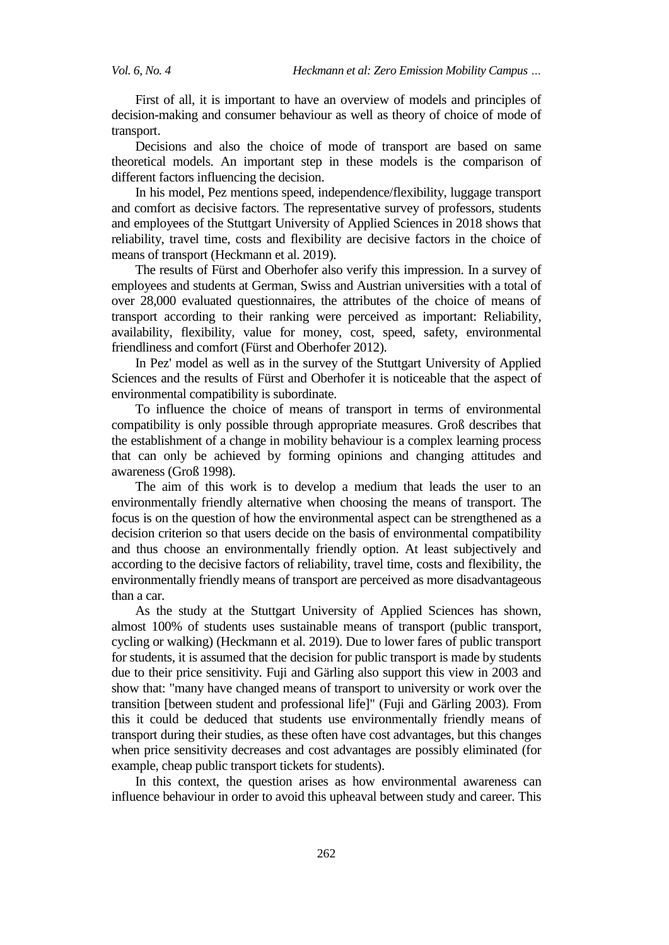First of all, it is important to have an overview of models and principles of decision-making and consumer behaviour as well as theory of choice of mode of transport.

Decisions and also the choice of mode of transport are based on same theoretical models. An important step in these models is the comparison of different factors influencing the decision.

In his model, Pez mentions speed, independence/flexibility, luggage transport and comfort as decisive factors. The representative survey of professors, students and employees of the Stuttgart University of Applied Sciences in 2018 shows that reliability, travel time, costs and flexibility are decisive factors in the choice of means of transport (Heckmann et al. 2019).

The results of Fürst and Oberhofer also verify this impression. In a survey of employees and students at German, Swiss and Austrian universities with a total of over 28,000 evaluated questionnaires, the attributes of the choice of means of transport according to their ranking were perceived as important: Reliability, availability, flexibility, value for money, cost, speed, safety, environmental friendliness and comfort (Fürst and Oberhofer 2012).

In Pez' model as well as in the survey of the Stuttgart University of Applied Sciences and the results of Fürst and Oberhofer it is noticeable that the aspect of environmental compatibility is subordinate.

To influence the choice of means of transport in terms of environmental compatibility is only possible through appropriate measures. Groß describes that the establishment of a change in mobility behaviour is a complex learning process that can only be achieved by forming opinions and changing attitudes and awareness (Groß 1998).

The aim of this work is to develop a medium that leads the user to an environmentally friendly alternative when choosing the means of transport. The focus is on the question of how the environmental aspect can be strengthened as a decision criterion so that users decide on the basis of environmental compatibility and thus choose an environmentally friendly option. At least subjectively and according to the decisive factors of reliability, travel time, costs and flexibility, the environmentally friendly means of transport are perceived as more disadvantageous than a car.

As the study at the Stuttgart University of Applied Sciences has shown, almost 100% of students uses sustainable means of transport (public transport, cycling or walking) (Heckmann et al. 2019). Due to lower fares of public transport for students, it is assumed that the decision for public transport is made by students due to their price sensitivity. Fuji and Gärling also support this view in 2003 and show that: "many have changed means of transport to university or work over the transition [between student and professional life]" (Fuji and Gärling 2003). From this it could be deduced that students use environmentally friendly means of transport during their studies, as these often have cost advantages, but this changes when price sensitivity decreases and cost advantages are possibly eliminated (for example, cheap public transport tickets for students).

In this context, the question arises as how environmental awareness can influence behaviour in order to avoid this upheaval between study and career. This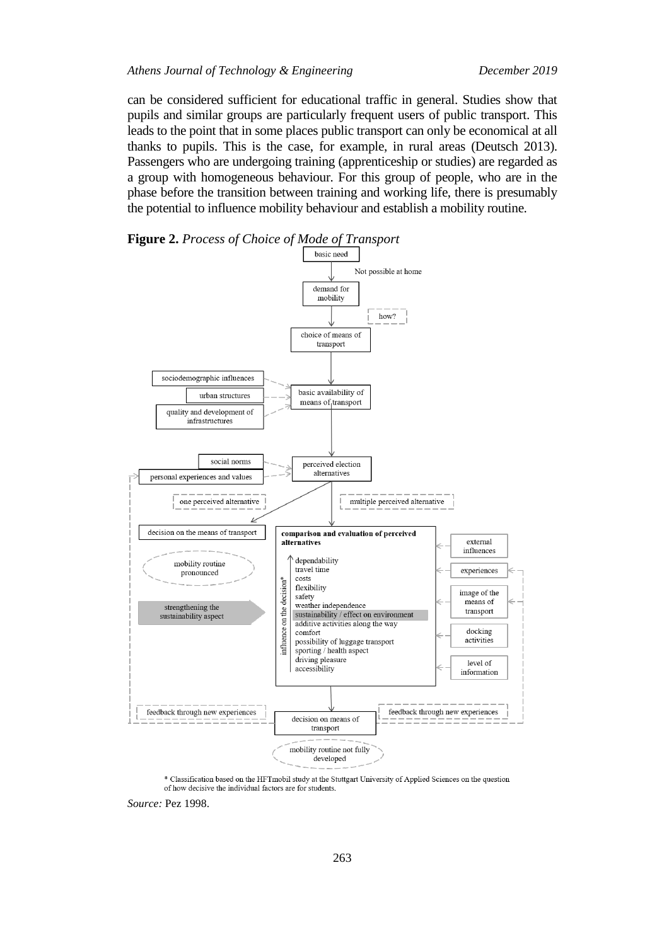can be considered sufficient for educational traffic in general. Studies show that pupils and similar groups are particularly frequent users of public transport. This leads to the point that in some places public transport can only be economical at all thanks to pupils. This is the case, for example, in rural areas (Deutsch 2013). Passengers who are undergoing training (apprenticeship or studies) are regarded as a group with homogeneous behaviour. For this group of people, who are in the phase before the transition between training and working life, there is presumably the potential to influence mobility behaviour and establish a mobility routine.







*Source:* Pez 1998.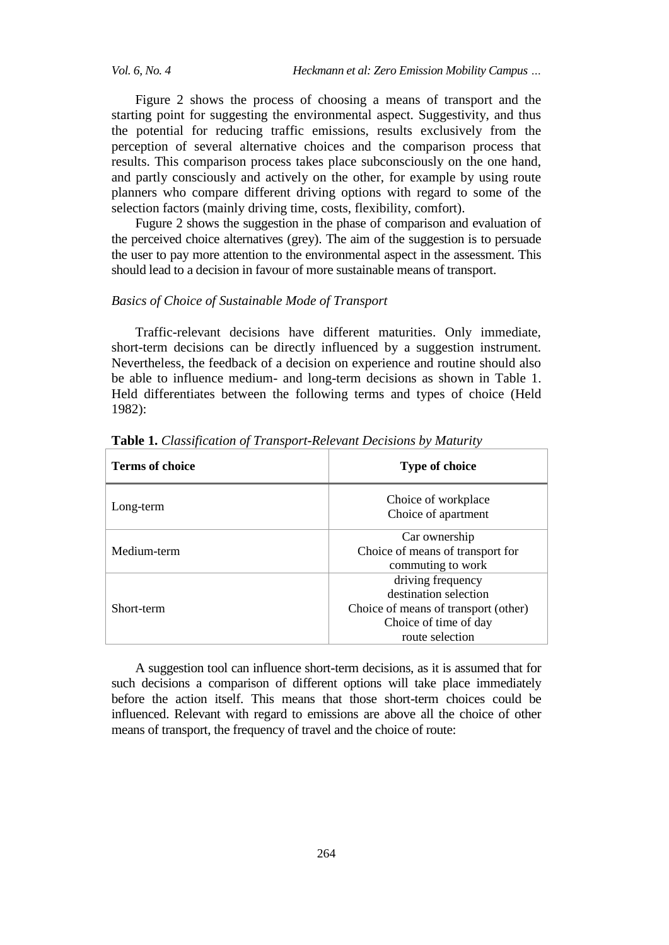*Vol. 6, No. 4 Heckmann et al: Zero Emission Mobility Campus …*

Figure 2 shows the process of choosing a means of transport and the starting point for suggesting the environmental aspect. Suggestivity, and thus the potential for reducing traffic emissions, results exclusively from the perception of several alternative choices and the comparison process that results. This comparison process takes place subconsciously on the one hand, and partly consciously and actively on the other, for example by using route planners who compare different driving options with regard to some of the selection factors (mainly driving time, costs, flexibility, comfort).

Fugure 2 shows the suggestion in the phase of comparison and evaluation of the perceived choice alternatives (grey). The aim of the suggestion is to persuade the user to pay more attention to the environmental aspect in the assessment. This should lead to a decision in favour of more sustainable means of transport.

#### *Basics of Choice of Sustainable Mode of Transport*

Traffic-relevant decisions have different maturities. Only immediate, short-term decisions can be directly influenced by a suggestion instrument. Nevertheless, the feedback of a decision on experience and routine should also be able to influence medium- and long-term decisions as shown in Table 1. Held differentiates between the following terms and types of choice (Held 1982):

| <b>Terms of choice</b> | <b>Type of choice</b>                                                                                                          |
|------------------------|--------------------------------------------------------------------------------------------------------------------------------|
| Long-term              | Choice of workplace<br>Choice of apartment                                                                                     |
| Medium-term            | Car ownership<br>Choice of means of transport for<br>commuting to work                                                         |
| Short-term             | driving frequency<br>destination selection<br>Choice of means of transport (other)<br>Choice of time of day<br>route selection |

**Table 1.** *Classification of Transport-Relevant Decisions by Maturity*

A suggestion tool can influence short-term decisions, as it is assumed that for such decisions a comparison of different options will take place immediately before the action itself. This means that those short-term choices could be influenced. Relevant with regard to emissions are above all the choice of other means of transport, the frequency of travel and the choice of route: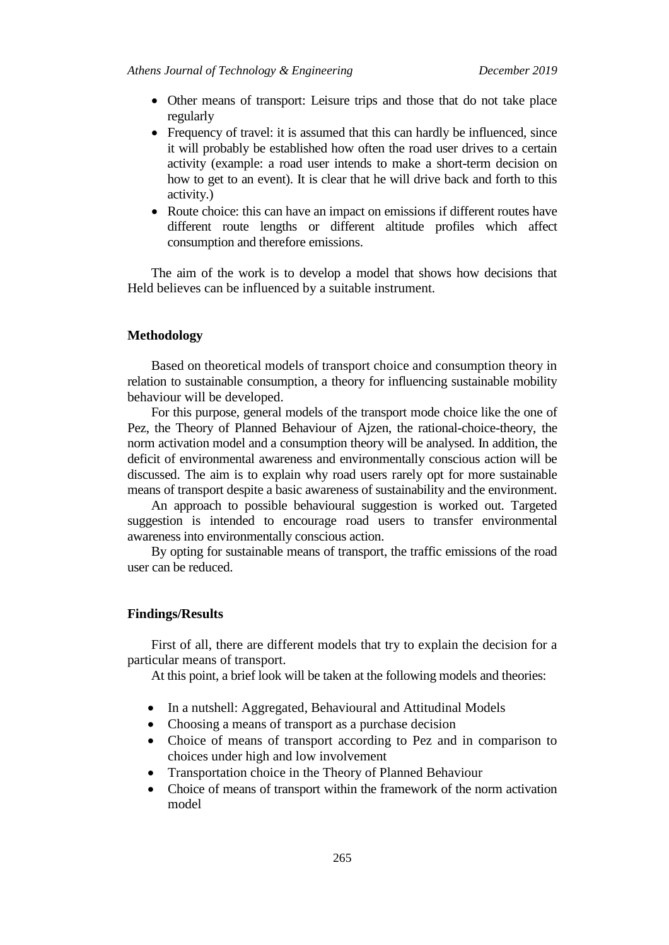- Other means of transport: Leisure trips and those that do not take place regularly
- Frequency of travel: it is assumed that this can hardly be influenced, since it will probably be established how often the road user drives to a certain activity (example: a road user intends to make a short-term decision on how to get to an event). It is clear that he will drive back and forth to this activity.)
- Route choice: this can have an impact on emissions if different routes have different route lengths or different altitude profiles which affect consumption and therefore emissions.

The aim of the work is to develop a model that shows how decisions that Held believes can be influenced by a suitable instrument.

#### **Methodology**

Based on theoretical models of transport choice and consumption theory in relation to sustainable consumption, a theory for influencing sustainable mobility behaviour will be developed.

For this purpose, general models of the transport mode choice like the one of Pez, the Theory of Planned Behaviour of Ajzen, the rational-choice-theory, the norm activation model and a consumption theory will be analysed. In addition, the deficit of environmental awareness and environmentally conscious action will be discussed. The aim is to explain why road users rarely opt for more sustainable means of transport despite a basic awareness of sustainability and the environment.

An approach to possible behavioural suggestion is worked out. Targeted suggestion is intended to encourage road users to transfer environmental awareness into environmentally conscious action.

By opting for sustainable means of transport, the traffic emissions of the road user can be reduced.

#### **Findings/Results**

First of all, there are different models that try to explain the decision for a particular means of transport.

At this point, a brief look will be taken at the following models and theories:

- In a nutshell: Aggregated, Behavioural and Attitudinal Models
- Choosing a means of transport as a purchase decision
- Choice of means of transport according to Pez and in comparison to choices under high and low involvement
- Transportation choice in the Theory of Planned Behaviour
- Choice of means of transport within the framework of the norm activation model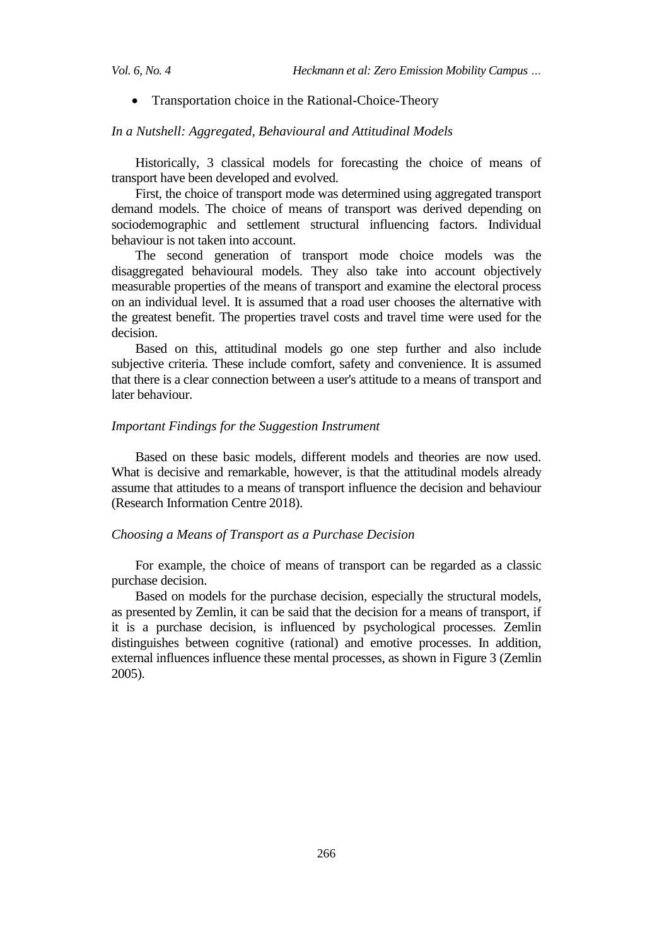• Transportation choice in the Rational-Choice-Theory

#### *In a Nutshell: Aggregated, Behavioural and Attitudinal Models*

Historically, 3 classical models for forecasting the choice of means of transport have been developed and evolved.

First, the choice of transport mode was determined using aggregated transport demand models. The choice of means of transport was derived depending on sociodemographic and settlement structural influencing factors. Individual behaviour is not taken into account.

The second generation of transport mode choice models was the disaggregated behavioural models. They also take into account objectively measurable properties of the means of transport and examine the electoral process on an individual level. It is assumed that a road user chooses the alternative with the greatest benefit. The properties travel costs and travel time were used for the decision.

Based on this, attitudinal models go one step further and also include subjective criteria. These include comfort, safety and convenience. It is assumed that there is a clear connection between a user's attitude to a means of transport and later behaviour.

### *Important Findings for the Suggestion Instrument*

Based on these basic models, different models and theories are now used. What is decisive and remarkable, however, is that the attitudinal models already assume that attitudes to a means of transport influence the decision and behaviour (Research Information Centre 2018).

# *Choosing a Means of Transport as a Purchase Decision*

For example, the choice of means of transport can be regarded as a classic purchase decision.

Based on models for the purchase decision, especially the structural models, as presented by Zemlin, it can be said that the decision for a means of transport, if it is a purchase decision, is influenced by psychological processes. Zemlin distinguishes between cognitive (rational) and emotive processes. In addition, external influences influence these mental processes, as shown in Figure 3 (Zemlin 2005).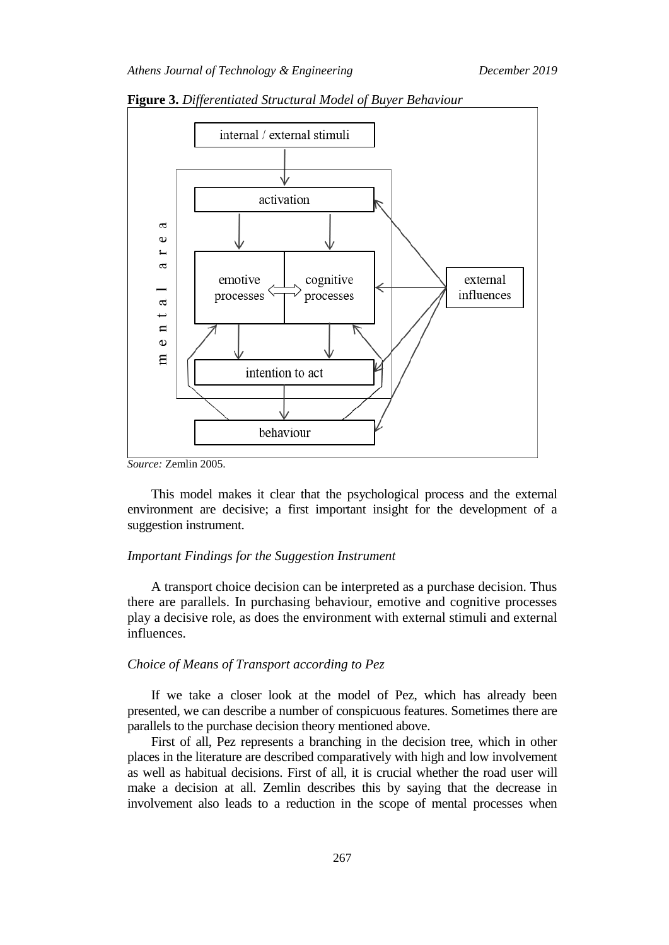

**Figure 3.** *Differentiated Structural Model of Buyer Behaviour*

*Source:* Zemlin 2005.

This model makes it clear that the psychological process and the external environment are decisive; a first important insight for the development of a suggestion instrument.

#### *Important Findings for the Suggestion Instrument*

A transport choice decision can be interpreted as a purchase decision. Thus there are parallels. In purchasing behaviour, emotive and cognitive processes play a decisive role, as does the environment with external stimuli and external influences.

#### *Choice of Means of Transport according to Pez*

If we take a closer look at the model of Pez, which has already been presented, we can describe a number of conspicuous features. Sometimes there are parallels to the purchase decision theory mentioned above.

First of all, Pez represents a branching in the decision tree, which in other places in the literature are described comparatively with high and low involvement as well as habitual decisions. First of all, it is crucial whether the road user will make a decision at all. Zemlin describes this by saying that the decrease in involvement also leads to a reduction in the scope of mental processes when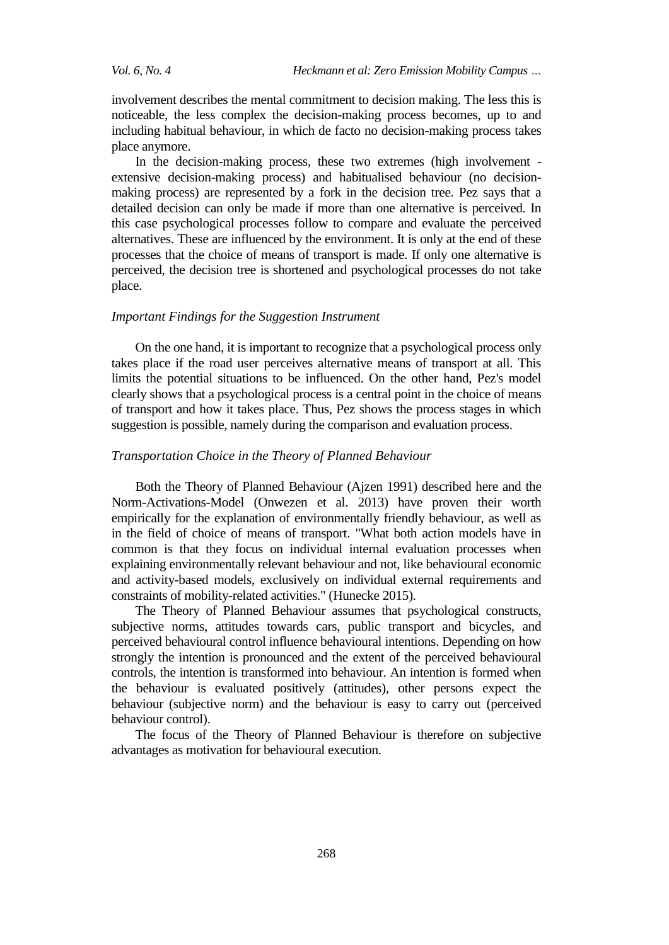involvement describes the mental commitment to decision making. The less this is noticeable, the less complex the decision-making process becomes, up to and including habitual behaviour, in which de facto no decision-making process takes place anymore.

In the decision-making process, these two extremes (high involvement extensive decision-making process) and habitualised behaviour (no decisionmaking process) are represented by a fork in the decision tree. Pez says that a detailed decision can only be made if more than one alternative is perceived. In this case psychological processes follow to compare and evaluate the perceived alternatives. These are influenced by the environment. It is only at the end of these processes that the choice of means of transport is made. If only one alternative is perceived, the decision tree is shortened and psychological processes do not take place.

#### *Important Findings for the Suggestion Instrument*

On the one hand, it is important to recognize that a psychological process only takes place if the road user perceives alternative means of transport at all. This limits the potential situations to be influenced. On the other hand, Pez's model clearly shows that a psychological process is a central point in the choice of means of transport and how it takes place. Thus, Pez shows the process stages in which suggestion is possible, namely during the comparison and evaluation process.

#### *Transportation Choice in the Theory of Planned Behaviour*

Both the Theory of Planned Behaviour (Ajzen 1991) described here and the Norm-Activations-Model (Onwezen et al. 2013) have proven their worth empirically for the explanation of environmentally friendly behaviour, as well as in the field of choice of means of transport. "What both action models have in common is that they focus on individual internal evaluation processes when explaining environmentally relevant behaviour and not, like behavioural economic and activity-based models, exclusively on individual external requirements and constraints of mobility-related activities." (Hunecke 2015).

The Theory of Planned Behaviour assumes that psychological constructs, subjective norms, attitudes towards cars, public transport and bicycles, and perceived behavioural control influence behavioural intentions. Depending on how strongly the intention is pronounced and the extent of the perceived behavioural controls, the intention is transformed into behaviour. An intention is formed when the behaviour is evaluated positively (attitudes), other persons expect the behaviour (subjective norm) and the behaviour is easy to carry out (perceived behaviour control).

The focus of the Theory of Planned Behaviour is therefore on subjective advantages as motivation for behavioural execution.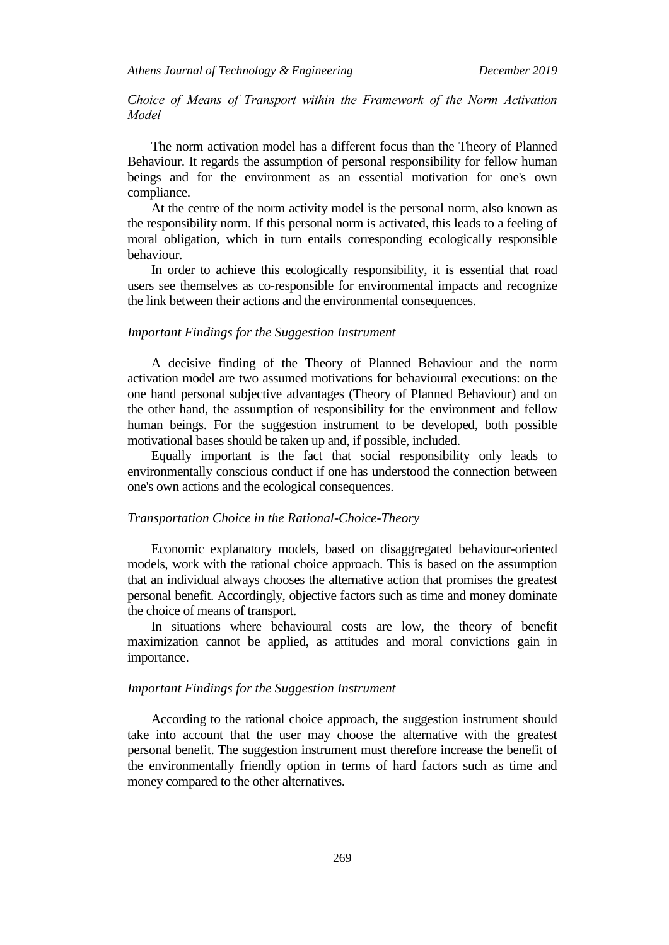*Choice of Means of Transport within the Framework of the Norm Activation Model*

The norm activation model has a different focus than the Theory of Planned Behaviour. It regards the assumption of personal responsibility for fellow human beings and for the environment as an essential motivation for one's own compliance.

At the centre of the norm activity model is the personal norm, also known as the responsibility norm. If this personal norm is activated, this leads to a feeling of moral obligation, which in turn entails corresponding ecologically responsible behaviour.

In order to achieve this ecologically responsibility, it is essential that road users see themselves as co-responsible for environmental impacts and recognize the link between their actions and the environmental consequences.

#### *Important Findings for the Suggestion Instrument*

A decisive finding of the Theory of Planned Behaviour and the norm activation model are two assumed motivations for behavioural executions: on the one hand personal subjective advantages (Theory of Planned Behaviour) and on the other hand, the assumption of responsibility for the environment and fellow human beings. For the suggestion instrument to be developed, both possible motivational bases should be taken up and, if possible, included.

Equally important is the fact that social responsibility only leads to environmentally conscious conduct if one has understood the connection between one's own actions and the ecological consequences.

#### *Transportation Choice in the Rational-Choice-Theory*

Economic explanatory models, based on disaggregated behaviour-oriented models, work with the rational choice approach. This is based on the assumption that an individual always chooses the alternative action that promises the greatest personal benefit. Accordingly, objective factors such as time and money dominate the choice of means of transport.

In situations where behavioural costs are low, the theory of benefit maximization cannot be applied, as attitudes and moral convictions gain in importance.

#### *Important Findings for the Suggestion Instrument*

According to the rational choice approach, the suggestion instrument should take into account that the user may choose the alternative with the greatest personal benefit. The suggestion instrument must therefore increase the benefit of the environmentally friendly option in terms of hard factors such as time and money compared to the other alternatives.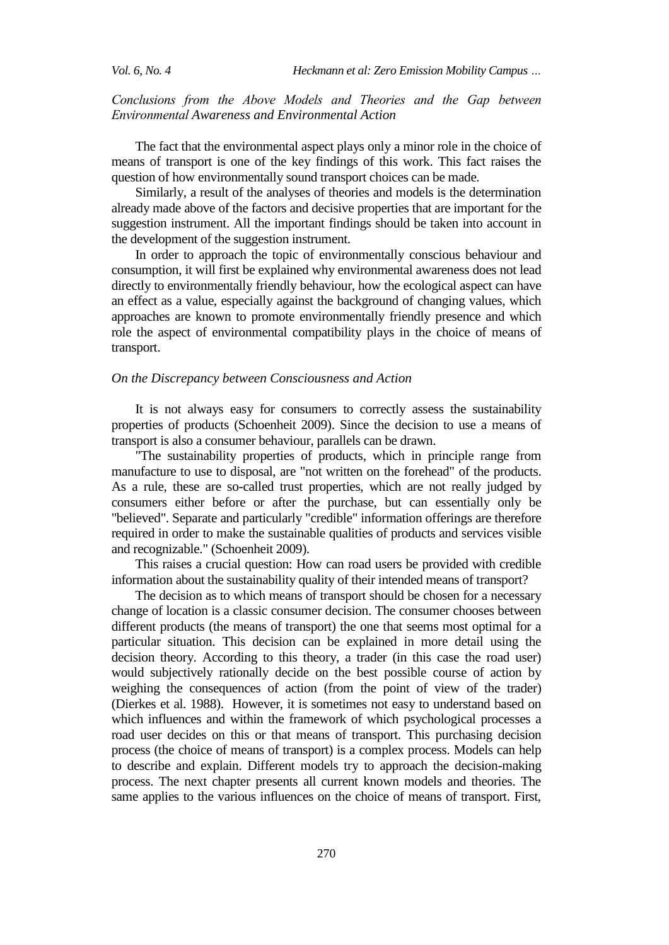*Vol. 6, No. 4 Heckmann et al: Zero Emission Mobility Campus …*

# *Conclusions from the Above Models and Theories and the Gap between Environmental Awareness and Environmental Action*

The fact that the environmental aspect plays only a minor role in the choice of means of transport is one of the key findings of this work. This fact raises the question of how environmentally sound transport choices can be made.

Similarly, a result of the analyses of theories and models is the determination already made above of the factors and decisive properties that are important for the suggestion instrument. All the important findings should be taken into account in the development of the suggestion instrument.

In order to approach the topic of environmentally conscious behaviour and consumption, it will first be explained why environmental awareness does not lead directly to environmentally friendly behaviour, how the ecological aspect can have an effect as a value, especially against the background of changing values, which approaches are known to promote environmentally friendly presence and which role the aspect of environmental compatibility plays in the choice of means of transport.

#### *On the Discrepancy between Consciousness and Action*

It is not always easy for consumers to correctly assess the sustainability properties of products (Schoenheit 2009). Since the decision to use a means of transport is also a consumer behaviour, parallels can be drawn.

"The sustainability properties of products, which in principle range from manufacture to use to disposal, are "not written on the forehead" of the products. As a rule, these are so-called trust properties, which are not really judged by consumers either before or after the purchase, but can essentially only be "believed". Separate and particularly "credible" information offerings are therefore required in order to make the sustainable qualities of products and services visible and recognizable." (Schoenheit 2009).

This raises a crucial question: How can road users be provided with credible information about the sustainability quality of their intended means of transport?

The decision as to which means of transport should be chosen for a necessary change of location is a classic consumer decision. The consumer chooses between different products (the means of transport) the one that seems most optimal for a particular situation. This decision can be explained in more detail using the decision theory. According to this theory, a trader (in this case the road user) would subjectively rationally decide on the best possible course of action by weighing the consequences of action (from the point of view of the trader) (Dierkes et al. 1988). However, it is sometimes not easy to understand based on which influences and within the framework of which psychological processes a road user decides on this or that means of transport. This purchasing decision process (the choice of means of transport) is a complex process. Models can help to describe and explain. Different models try to approach the decision-making process. The next chapter presents all current known models and theories. The same applies to the various influences on the choice of means of transport. First,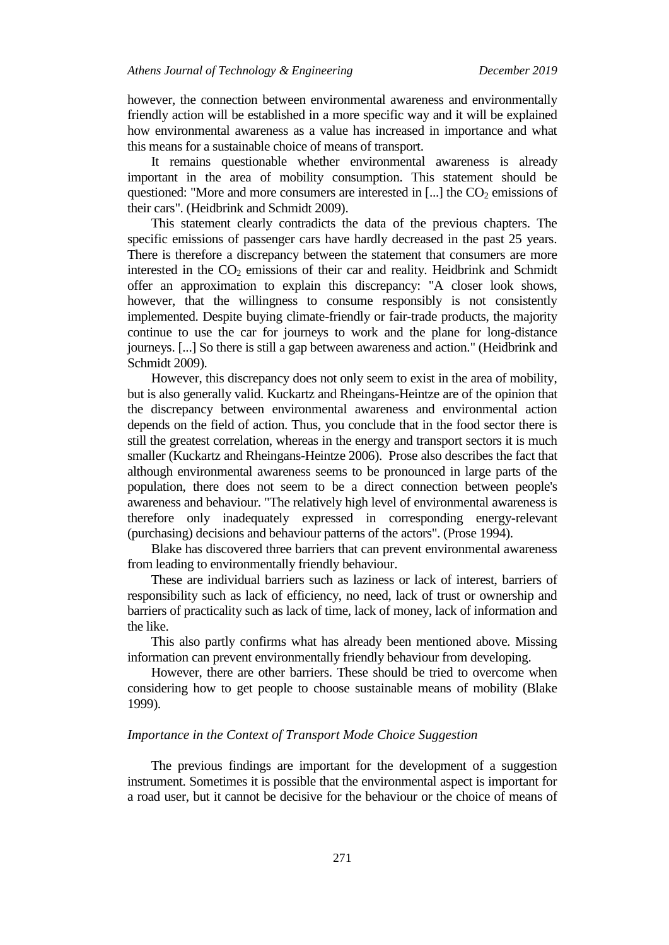however, the connection between environmental awareness and environmentally friendly action will be established in a more specific way and it will be explained how environmental awareness as a value has increased in importance and what this means for a sustainable choice of means of transport.

It remains questionable whether environmental awareness is already important in the area of mobility consumption. This statement should be questioned: "More and more consumers are interested in  $\left[\ldots\right]$  the  $CO_2$  emissions of their cars". (Heidbrink and Schmidt 2009).

This statement clearly contradicts the data of the previous chapters. The specific emissions of passenger cars have hardly decreased in the past 25 years. There is therefore a discrepancy between the statement that consumers are more interested in the  $CO<sub>2</sub>$  emissions of their car and reality. Heidbrink and Schmidt offer an approximation to explain this discrepancy: "A closer look shows, however, that the willingness to consume responsibly is not consistently implemented. Despite buying climate-friendly or fair-trade products, the majority continue to use the car for journeys to work and the plane for long-distance journeys. [...] So there is still a gap between awareness and action." (Heidbrink and Schmidt 2009).

However, this discrepancy does not only seem to exist in the area of mobility, but is also generally valid. Kuckartz and Rheingans-Heintze are of the opinion that the discrepancy between environmental awareness and environmental action depends on the field of action. Thus, you conclude that in the food sector there is still the greatest correlation, whereas in the energy and transport sectors it is much smaller (Kuckartz and Rheingans-Heintze 2006). Prose also describes the fact that although environmental awareness seems to be pronounced in large parts of the population, there does not seem to be a direct connection between people's awareness and behaviour. "The relatively high level of environmental awareness is therefore only inadequately expressed in corresponding energy-relevant (purchasing) decisions and behaviour patterns of the actors". (Prose 1994).

Blake has discovered three barriers that can prevent environmental awareness from leading to environmentally friendly behaviour.

These are individual barriers such as laziness or lack of interest, barriers of responsibility such as lack of efficiency, no need, lack of trust or ownership and barriers of practicality such as lack of time, lack of money, lack of information and the like.

This also partly confirms what has already been mentioned above. Missing information can prevent environmentally friendly behaviour from developing.

However, there are other barriers. These should be tried to overcome when considering how to get people to choose sustainable means of mobility (Blake 1999).

### *Importance in the Context of Transport Mode Choice Suggestion*

The previous findings are important for the development of a suggestion instrument. Sometimes it is possible that the environmental aspect is important for a road user, but it cannot be decisive for the behaviour or the choice of means of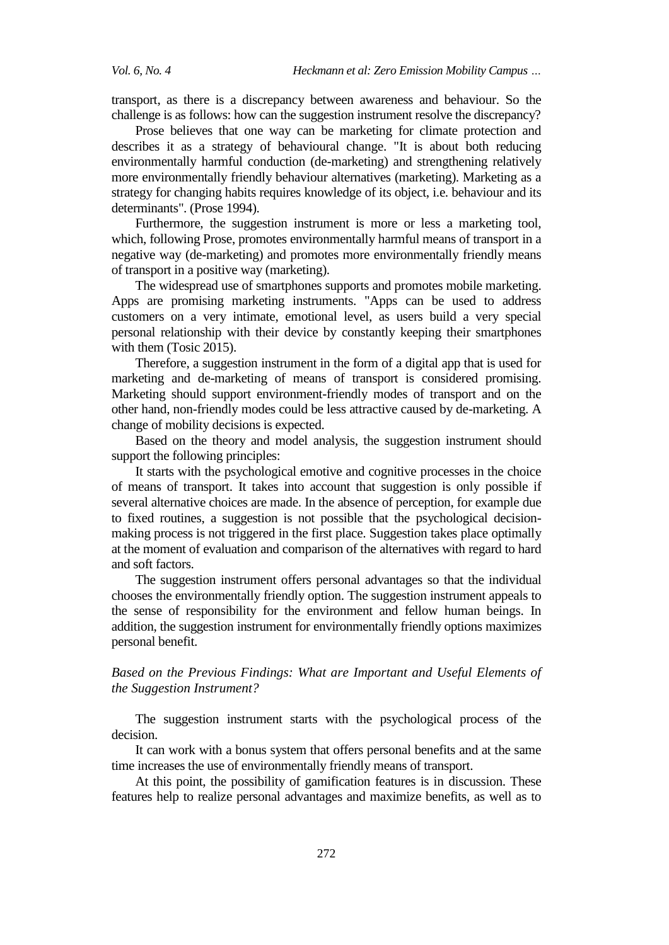transport, as there is a discrepancy between awareness and behaviour. So the challenge is as follows: how can the suggestion instrument resolve the discrepancy?

Prose believes that one way can be marketing for climate protection and describes it as a strategy of behavioural change. "It is about both reducing environmentally harmful conduction (de-marketing) and strengthening relatively more environmentally friendly behaviour alternatives (marketing). Marketing as a strategy for changing habits requires knowledge of its object, i.e. behaviour and its determinants". (Prose 1994).

Furthermore, the suggestion instrument is more or less a marketing tool, which, following Prose, promotes environmentally harmful means of transport in a negative way (de-marketing) and promotes more environmentally friendly means of transport in a positive way (marketing).

The widespread use of smartphones supports and promotes mobile marketing. Apps are promising marketing instruments. "Apps can be used to address customers on a very intimate, emotional level, as users build a very special personal relationship with their device by constantly keeping their smartphones with them (Tosic 2015).

Therefore, a suggestion instrument in the form of a digital app that is used for marketing and de-marketing of means of transport is considered promising. Marketing should support environment-friendly modes of transport and on the other hand, non-friendly modes could be less attractive caused by de-marketing. A change of mobility decisions is expected.

Based on the theory and model analysis, the suggestion instrument should support the following principles:

It starts with the psychological emotive and cognitive processes in the choice of means of transport. It takes into account that suggestion is only possible if several alternative choices are made. In the absence of perception, for example due to fixed routines, a suggestion is not possible that the psychological decisionmaking process is not triggered in the first place. Suggestion takes place optimally at the moment of evaluation and comparison of the alternatives with regard to hard and soft factors.

The suggestion instrument offers personal advantages so that the individual chooses the environmentally friendly option. The suggestion instrument appeals to the sense of responsibility for the environment and fellow human beings. In addition, the suggestion instrument for environmentally friendly options maximizes personal benefit.

# *Based on the Previous Findings: What are Important and Useful Elements of the Suggestion Instrument?*

The suggestion instrument starts with the psychological process of the decision.

It can work with a bonus system that offers personal benefits and at the same time increases the use of environmentally friendly means of transport.

At this point, the possibility of gamification features is in discussion. These features help to realize personal advantages and maximize benefits, as well as to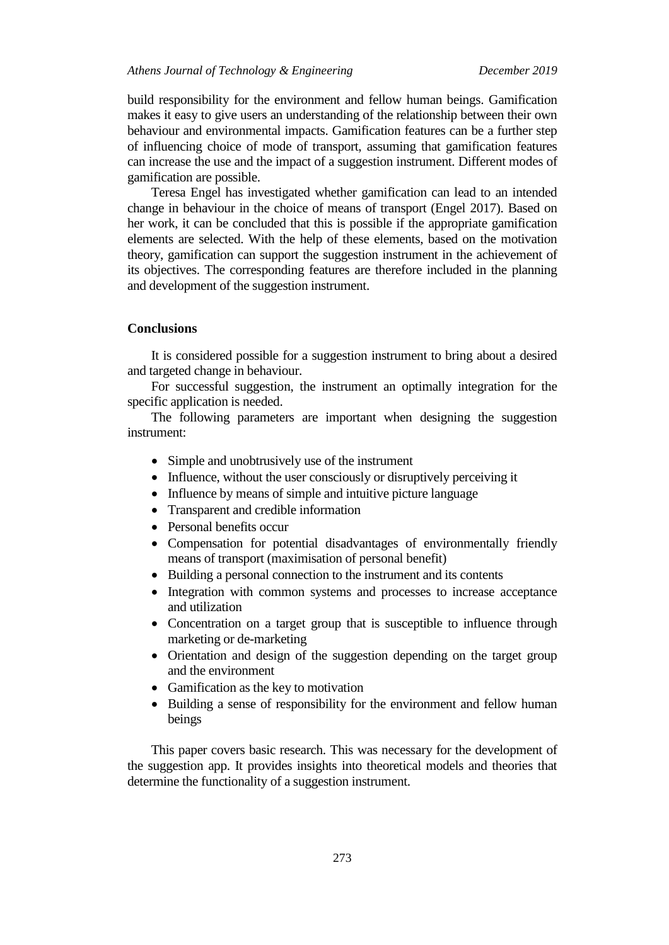# *Athens Journal of Technology & Engineering December 2019*

build responsibility for the environment and fellow human beings. Gamification makes it easy to give users an understanding of the relationship between their own behaviour and environmental impacts. Gamification features can be a further step of influencing choice of mode of transport, assuming that gamification features can increase the use and the impact of a suggestion instrument. Different modes of gamification are possible.

Teresa Engel has investigated whether gamification can lead to an intended change in behaviour in the choice of means of transport (Engel 2017). Based on her work, it can be concluded that this is possible if the appropriate gamification elements are selected. With the help of these elements, based on the motivation theory, gamification can support the suggestion instrument in the achievement of its objectives. The corresponding features are therefore included in the planning and development of the suggestion instrument.

#### **Conclusions**

It is considered possible for a suggestion instrument to bring about a desired and targeted change in behaviour.

For successful suggestion, the instrument an optimally integration for the specific application is needed.

The following parameters are important when designing the suggestion instrument:

- Simple and unobtrusively use of the instrument
- Influence, without the user consciously or disruptively perceiving it
- Influence by means of simple and intuitive picture language
- Transparent and credible information
- Personal benefits occur
- Compensation for potential disadvantages of environmentally friendly means of transport (maximisation of personal benefit)
- Building a personal connection to the instrument and its contents
- Integration with common systems and processes to increase acceptance and utilization
- Concentration on a target group that is susceptible to influence through marketing or de-marketing
- Orientation and design of the suggestion depending on the target group and the environment
- Gamification as the key to motivation
- Building a sense of responsibility for the environment and fellow human beings

This paper covers basic research. This was necessary for the development of the suggestion app. It provides insights into theoretical models and theories that determine the functionality of a suggestion instrument.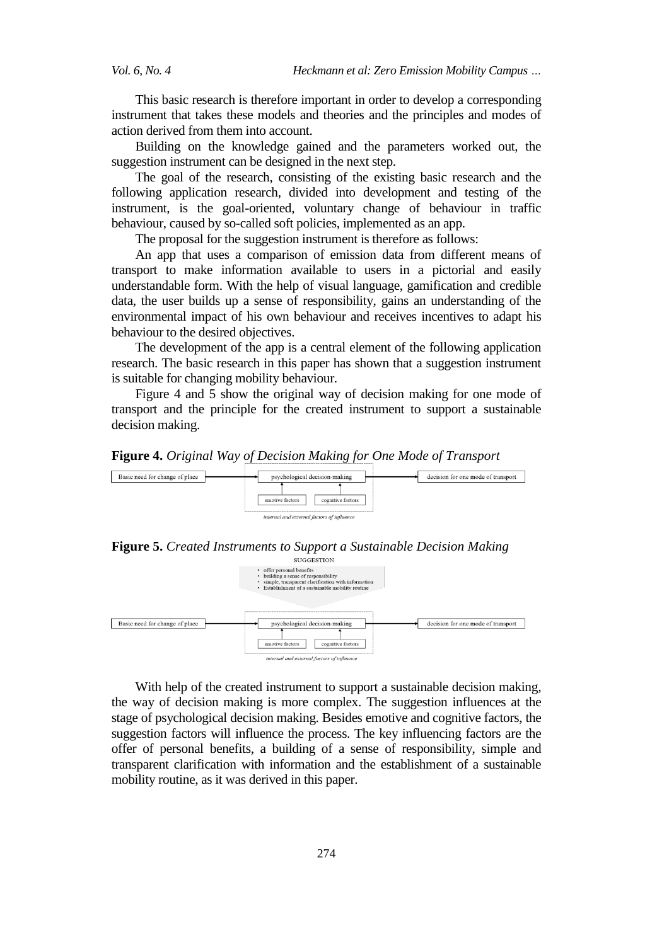This basic research is therefore important in order to develop a corresponding instrument that takes these models and theories and the principles and modes of action derived from them into account.

Building on the knowledge gained and the parameters worked out, the suggestion instrument can be designed in the next step.

The goal of the research, consisting of the existing basic research and the following application research, divided into development and testing of the instrument, is the goal-oriented, voluntary change of behaviour in traffic behaviour, caused by so-called soft policies, implemented as an app.

The proposal for the suggestion instrument is therefore as follows:

An app that uses a comparison of emission data from different means of transport to make information available to users in a pictorial and easily understandable form. With the help of visual language, gamification and credible data, the user builds up a sense of responsibility, gains an understanding of the environmental impact of his own behaviour and receives incentives to adapt his behaviour to the desired objectives.

The development of the app is a central element of the following application research. The basic research in this paper has shown that a suggestion instrument is suitable for changing mobility behaviour.

[Figure 4](#page-15-0) and 5 show the original way of decision making for one mode of transport and the principle for the created instrument to support a sustainable decision making.

<span id="page-15-0"></span>



**Figure 5.** *Created Instruments to Support a Sustainable Decision Making*



With help of the created instrument to support a sustainable decision making, the way of decision making is more complex. The suggestion influences at the stage of psychological decision making. Besides emotive and cognitive factors, the suggestion factors will influence the process. The key influencing factors are the offer of personal benefits, a building of a sense of responsibility, simple and transparent clarification with information and the establishment of a sustainable mobility routine, as it was derived in this paper.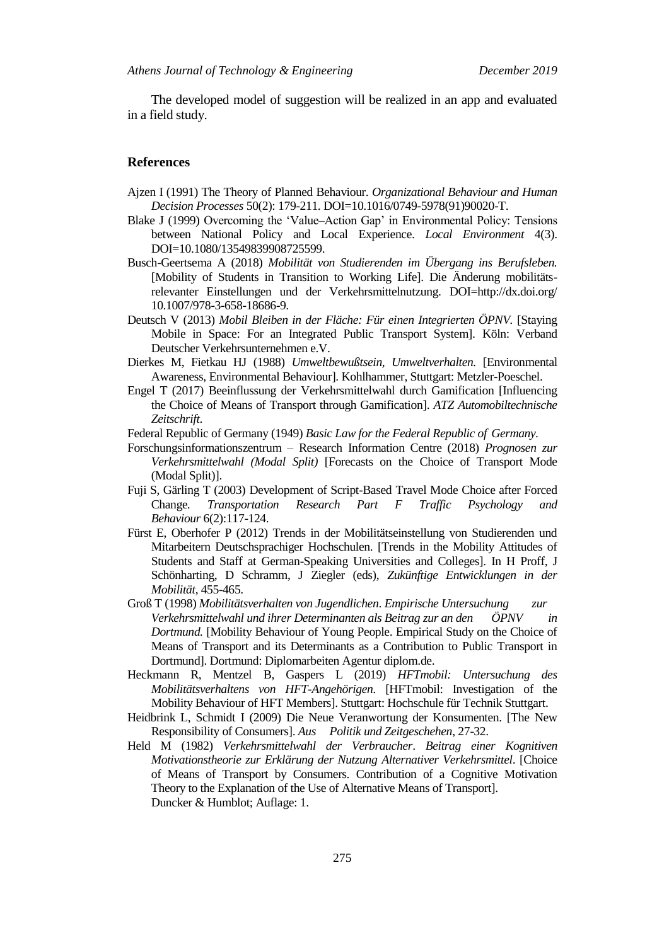The developed model of suggestion will be realized in an app and evaluated in a field study.

#### **References**

- Ajzen I (1991) The Theory of Planned Behaviour. *Organizational Behaviour and Human Decision Processes* 50(2): 179-211. DOI=10.1016/0749-5978(91)90020-T.
- Blake J (1999) Overcoming the "Value–Action Gap" in Environmental Policy: Tensions between National Policy and Local Experience. *Local Environment* 4(3). DOI=10.1080/13549839908725599.
- Busch-Geertsema A (2018) *Mobilität von Studierenden im Übergang ins Berufsleben.*  [Mobility of Students in Transition to Working Life]. Die Änderung mobilitätsrelevanter Einstellungen und der Verkehrsmittelnutzung. DOI=http://dx.doi.org/ 10.1007/978-3-658-18686-9.
- Deutsch V (2013) *Mobil Bleiben in der Fläche: Für einen Integrierten ÖPNV.* [Staying Mobile in Space: For an Integrated Public Transport System]. Köln: Verband Deutscher Verkehrsunternehmen e.V.
- Dierkes M, Fietkau HJ (1988) *Umweltbewußtsein, Umweltverhalten.* [Environmental Awareness, Environmental Behaviour]. Kohlhammer, Stuttgart: Metzler-Poeschel.
- Engel T (2017) Beeinflussung der Verkehrsmittelwahl durch Gamification [Influencing the Choice of Means of Transport through Gamification]. *ATZ Automobiltechnische Zeitschrift*.
- Federal Republic of Germany (1949) *Basic Law for the Federal Republic of Germany.*
- Forschungsinformationszentrum Research Information Centre (2018) *Prognosen zur Verkehrsmittelwahl (Modal Split)* [Forecasts on the Choice of Transport Mode (Modal Split)].
- Fuji S, Gärling T (2003) Development of Script-Based Travel Mode Choice after Forced Change*. Transportation Research Part F Traffic Psychology and Behaviour* 6(2):117-124.
- Fürst E, Oberhofer P (2012) Trends in der Mobilitätseinstellung von Studierenden und Mitarbeitern Deutschsprachiger Hochschulen. [Trends in the Mobility Attitudes of Students and Staff at German-Speaking Universities and Colleges]. In H Proff, J Schönharting, D Schramm, J Ziegler (eds), *Zukünftige Entwicklungen in der Mobilität*, 455-465.
- Groß T (1998) *Mobilitätsverhalten von Jugendlichen*. *Empirische Untersuchung zur Verkehrsmittelwahl und ihrer Determinanten als Beitrag zur an den ÖPNV in Dortmund.* [Mobility Behaviour of Young People. Empirical Study on the Choice of Means of Transport and its Determinants as a Contribution to Public Transport in Dortmund]. Dortmund: Diplomarbeiten Agentur diplom.de.
- Heckmann R, Mentzel B, Gaspers L (2019) *HFTmobil: Untersuchung des Mobilitätsverhaltens von HFT-Angehörigen.* [HFTmobil: Investigation of the Mobility Behaviour of HFT Members]. Stuttgart: Hochschule für Technik Stuttgart.
- Heidbrink L, Schmidt I (2009) Die Neue Veranwortung der Konsumenten. [The New Responsibility of Consumers]. *Aus Politik und Zeitgeschehen*, 27-32.
- Held M (1982) *Verkehrsmittelwahl der Verbraucher*. *Beitrag einer Kognitiven Motivationstheorie zur Erklärung der Nutzung Alternativer Verkehrsmittel*. [Choice of Means of Transport by Consumers. Contribution of a Cognitive Motivation Theory to the Explanation of the Use of Alternative Means of Transport]. Duncker & Humblot; Auflage: 1.